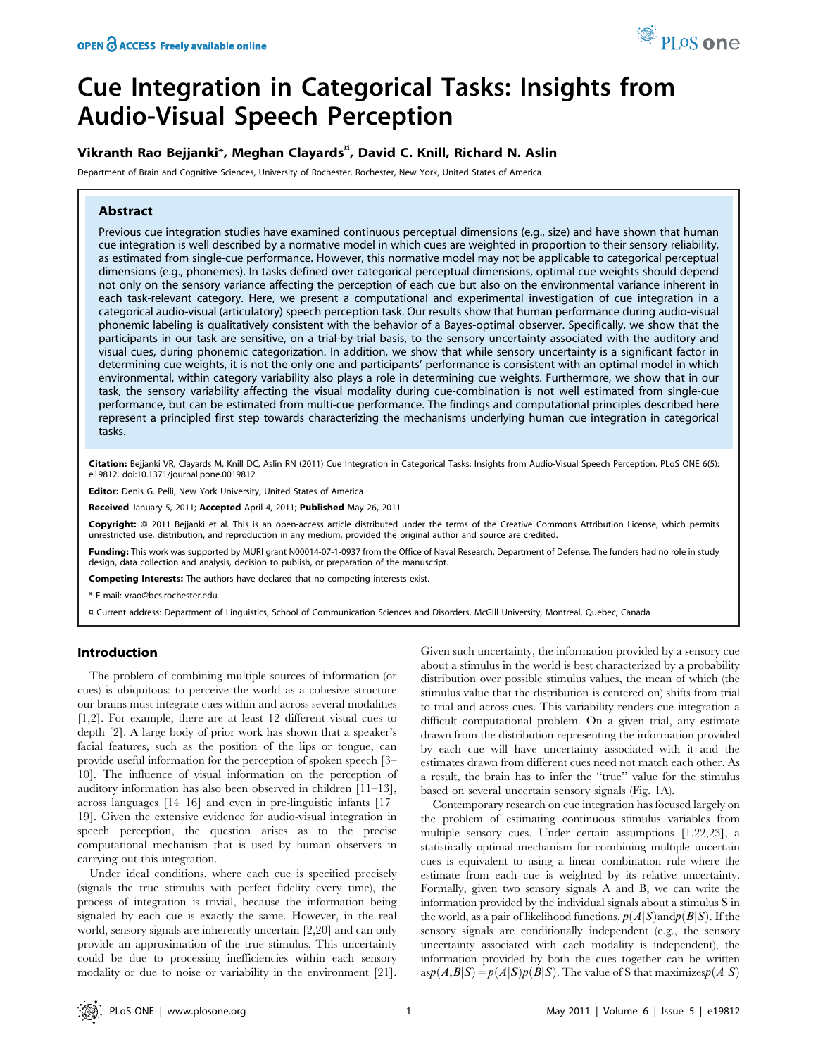# Cue Integration in Categorical Tasks: Insights from Audio-Visual Speech Perception

## Vikranth Rao Bejjanki\*, Meghan Clayards<sup>¤</sup>, David C. Knill, Richard N. Aslin

Department of Brain and Cognitive Sciences, University of Rochester, Rochester, New York, United States of America

## Abstract

Previous cue integration studies have examined continuous perceptual dimensions (e.g., size) and have shown that human cue integration is well described by a normative model in which cues are weighted in proportion to their sensory reliability, as estimated from single-cue performance. However, this normative model may not be applicable to categorical perceptual dimensions (e.g., phonemes). In tasks defined over categorical perceptual dimensions, optimal cue weights should depend not only on the sensory variance affecting the perception of each cue but also on the environmental variance inherent in each task-relevant category. Here, we present a computational and experimental investigation of cue integration in a categorical audio-visual (articulatory) speech perception task. Our results show that human performance during audio-visual phonemic labeling is qualitatively consistent with the behavior of a Bayes-optimal observer. Specifically, we show that the participants in our task are sensitive, on a trial-by-trial basis, to the sensory uncertainty associated with the auditory and visual cues, during phonemic categorization. In addition, we show that while sensory uncertainty is a significant factor in determining cue weights, it is not the only one and participants' performance is consistent with an optimal model in which environmental, within category variability also plays a role in determining cue weights. Furthermore, we show that in our task, the sensory variability affecting the visual modality during cue-combination is not well estimated from single-cue performance, but can be estimated from multi-cue performance. The findings and computational principles described here represent a principled first step towards characterizing the mechanisms underlying human cue integration in categorical tasks.

Citation: Bejjanki VR, Clayards M, Knill DC, Aslin RN (2011) Cue Integration in Categorical Tasks: Insights from Audio-Visual Speech Perception. PLoS ONE 6(5): e19812. doi:10.1371/journal.pone.0019812

Editor: Denis G. Pelli, New York University, United States of America

Received January 5, 2011; Accepted April 4, 2011; Published May 26, 2011

**Copyright:** © 2011 Bejjanki et al. This is an open-access article distributed under the terms of the Creative Commons Attribution License, which permits unrestricted use, distribution, and reproduction in any medium, provided the original author and source are credited.

Funding: This work was supported by MURI grant N00014-07-1-0937 from the Office of Naval Research, Department of Defense. The funders had no role in study design, data collection and analysis, decision to publish, or preparation of the manuscript.

Competing Interests: The authors have declared that no competing interests exist.

\* E-mail: vrao@bcs.rochester.edu

¤ Current address: Department of Linguistics, School of Communication Sciences and Disorders, McGill University, Montreal, Quebec, Canada

## Introduction

The problem of combining multiple sources of information (or cues) is ubiquitous: to perceive the world as a cohesive structure our brains must integrate cues within and across several modalities [1,2]. For example, there are at least 12 different visual cues to depth [2]. A large body of prior work has shown that a speaker's facial features, such as the position of the lips or tongue, can provide useful information for the perception of spoken speech [3– 10]. The influence of visual information on the perception of auditory information has also been observed in children [11–13], across languages [14–16] and even in pre-linguistic infants [17– 19]. Given the extensive evidence for audio-visual integration in speech perception, the question arises as to the precise computational mechanism that is used by human observers in carrying out this integration.

Under ideal conditions, where each cue is specified precisely (signals the true stimulus with perfect fidelity every time), the process of integration is trivial, because the information being signaled by each cue is exactly the same. However, in the real world, sensory signals are inherently uncertain [2,20] and can only provide an approximation of the true stimulus. This uncertainty could be due to processing inefficiencies within each sensory modality or due to noise or variability in the environment [21].

Given such uncertainty, the information provided by a sensory cue about a stimulus in the world is best characterized by a probability distribution over possible stimulus values, the mean of which (the stimulus value that the distribution is centered on) shifts from trial to trial and across cues. This variability renders cue integration a difficult computational problem. On a given trial, any estimate drawn from the distribution representing the information provided by each cue will have uncertainty associated with it and the estimates drawn from different cues need not match each other. As a result, the brain has to infer the ''true'' value for the stimulus based on several uncertain sensory signals (Fig. 1A).

Contemporary research on cue integration has focused largely on the problem of estimating continuous stimulus variables from multiple sensory cues. Under certain assumptions [1,22,23], a statistically optimal mechanism for combining multiple uncertain cues is equivalent to using a linear combination rule where the estimate from each cue is weighted by its relative uncertainty. Formally, given two sensory signals A and B, we can write the information provided by the individual signals about a stimulus S in the world, as a pair of likelihood functions,  $p(A|S)$  and  $p(B|S)$ . If the sensory signals are conditionally independent (e.g., the sensory uncertainty associated with each modality is independent), the information provided by both the cues together can be written  $\exp(A,B|S) = p(A|S)p(B|S)$ . The value of S that maximizesp $(A|S)$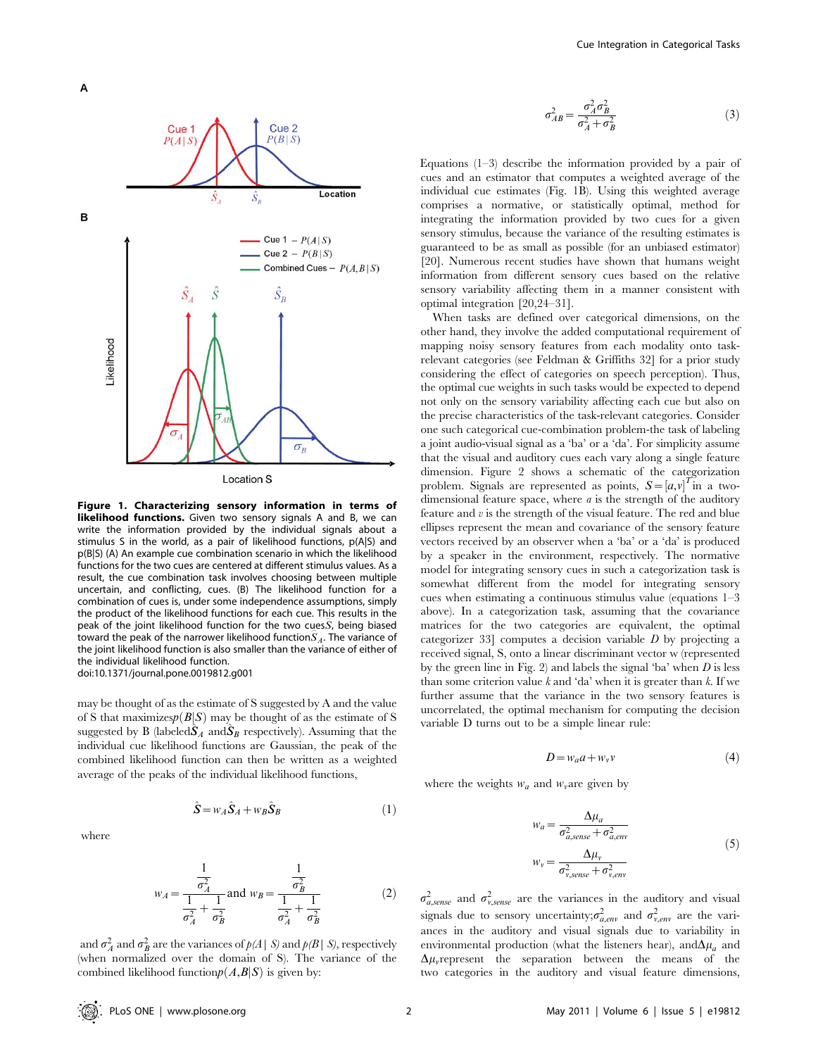

Figure 1. Characterizing sensory information in terms of likelihood functions. Given two sensory signals A and B, we can write the information provided by the individual signals about a stimulus S in the world, as a pair of likelihood functions, p(A|S) and p(B|S) (A) An example cue combination scenario in which the likelihood functions for the two cues are centered at different stimulus values. As a result, the cue combination task involves choosing between multiple uncertain, and conflicting, cues. (B) The likelihood function for a combination of cues is, under some independence assumptions, simply the product of the likelihood functions for each cue. This results in the \_ peak of the joint likelihood function for the two cuesS, being biased toward the peak of the narrower likelihood function $S_A$ . The variance of the joint likelihood function is also smaller than the variance of either of the individual likelihood function. doi:10.1371/journal.pone.0019812.g001

may be thought of as the estimate of S suggested by A and the value of S that maximizes  $p(B|S)$  may be thought of as the estimate of S suggested by B (labeled  $\tilde{S}_A$  and  $\tilde{S}_B$  respectively). Assuming that the individual cue likelihood functions are Gaussian, the peak of the combined likelihood function can then be written as a weighted average of the peaks of the individual likelihood functions,

 $\hat{S} = w_A\hat{S}_A + w_B\hat{S}_B$  (1)

$$
w_A = \frac{\frac{1}{\sigma_A^2}}{\frac{1}{\sigma_A^2} + \frac{1}{\sigma_B^2}} \text{ and } w_B = \frac{\frac{1}{\sigma_B^2}}{\frac{1}{\sigma_A^2} + \frac{1}{\sigma_B^2}}
$$
(2)

and  $\sigma_A^2$  and  $\sigma_B^2$  are the variances of  $p(A \mid S)$  and  $p(B \mid S)$ , respectively (when normalized over the domain of S). The variance of the combined likelihood function $p(A,B|S)$  is given by:

$$
\sigma_{AB}^2 = \frac{\sigma_A^2 \sigma_B^2}{\sigma_A^2 + \sigma_B^2} \tag{3}
$$

Equations (1–3) describe the information provided by a pair of cues and an estimator that computes a weighted average of the individual cue estimates (Fig. 1B). Using this weighted average comprises a normative, or statistically optimal, method for integrating the information provided by two cues for a given sensory stimulus, because the variance of the resulting estimates is guaranteed to be as small as possible (for an unbiased estimator) [20]. Numerous recent studies have shown that humans weight information from different sensory cues based on the relative sensory variability affecting them in a manner consistent with optimal integration [20,24–31].

When tasks are defined over categorical dimensions, on the other hand, they involve the added computational requirement of mapping noisy sensory features from each modality onto taskrelevant categories (see Feldman & Griffiths 32] for a prior study considering the effect of categories on speech perception). Thus, the optimal cue weights in such tasks would be expected to depend not only on the sensory variability affecting each cue but also on the precise characteristics of the task-relevant categories. Consider one such categorical cue-combination problem-the task of labeling a joint audio-visual signal as a 'ba' or a 'da'. For simplicity assume that the visual and auditory cues each vary along a single feature dimension. Figure 2 shows a schematic of the categorization problem. Signals are represented as points,  $S = [a, v]^T$  in a twodimensional feature space, where  $a$  is the strength of the auditory feature and  $v$  is the strength of the visual feature. The red and blue ellipses represent the mean and covariance of the sensory feature vectors received by an observer when a 'ba' or a 'da' is produced by a speaker in the environment, respectively. The normative model for integrating sensory cues in such a categorization task is somewhat different from the model for integrating sensory cues when estimating a continuous stimulus value (equations 1–3 above). In a categorization task, assuming that the covariance matrices for the two categories are equivalent, the optimal categorizer 33] computes a decision variable  $D$  by projecting a received signal, S, onto a linear discriminant vector w (represented by the green line in Fig. 2) and labels the signal 'ba' when  $D$  is less than some criterion value  $k$  and 'da' when it is greater than  $k$ . If we further assume that the variance in the two sensory features is uncorrelated, the optimal mechanism for computing the decision variable D turns out to be a simple linear rule:

$$
D = w_a a + w_v v \tag{4}
$$

where the weights  $w_a$  and  $w_v$  are given by

$$
w_a = \frac{\Delta \mu_a}{\sigma_{a, sense}^2 + \sigma_{a, env}^2}
$$
  

$$
w_v = \frac{\Delta \mu_v}{\sigma_{v, sense}^2 + \sigma_{v, env}^2}
$$
 (5)

 $\sigma_{a, sense}^2$  and  $\sigma_{v, sense}^2$  are the variances in the auditory and visual signals due to sensory uncertainty;  $\sigma_{a,env}^2$  and  $\sigma_{v,env}^2$  are the variances in the auditory and visual signals due to variability in environmental production (what the listeners hear), and  $\Delta \mu_a$  and  $\Delta \mu$ <sub>v</sub> represent the separation between the means of the two categories in the auditory and visual feature dimensions,

where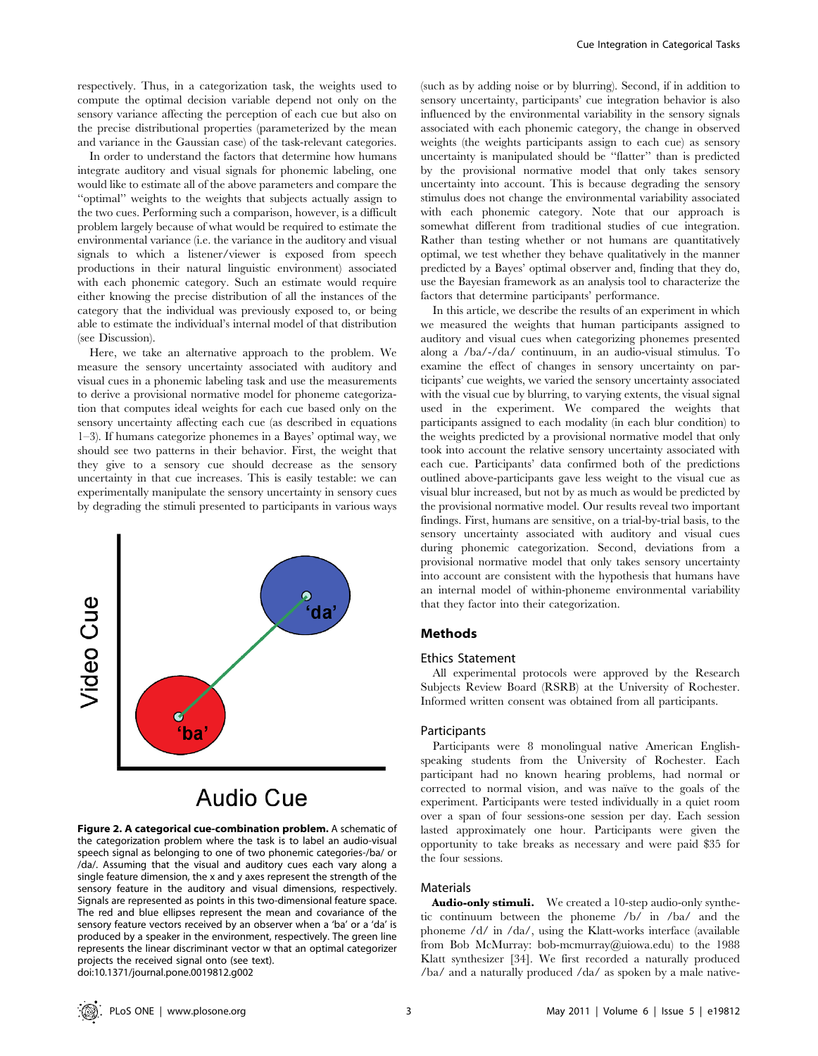respectively. Thus, in a categorization task, the weights used to compute the optimal decision variable depend not only on the sensory variance affecting the perception of each cue but also on the precise distributional properties (parameterized by the mean and variance in the Gaussian case) of the task-relevant categories.

In order to understand the factors that determine how humans integrate auditory and visual signals for phonemic labeling, one would like to estimate all of the above parameters and compare the ''optimal'' weights to the weights that subjects actually assign to the two cues. Performing such a comparison, however, is a difficult problem largely because of what would be required to estimate the environmental variance (i.e. the variance in the auditory and visual signals to which a listener/viewer is exposed from speech productions in their natural linguistic environment) associated with each phonemic category. Such an estimate would require either knowing the precise distribution of all the instances of the category that the individual was previously exposed to, or being able to estimate the individual's internal model of that distribution (see Discussion).

Here, we take an alternative approach to the problem. We measure the sensory uncertainty associated with auditory and visual cues in a phonemic labeling task and use the measurements to derive a provisional normative model for phoneme categorization that computes ideal weights for each cue based only on the sensory uncertainty affecting each cue (as described in equations 1–3). If humans categorize phonemes in a Bayes' optimal way, we should see two patterns in their behavior. First, the weight that they give to a sensory cue should decrease as the sensory uncertainty in that cue increases. This is easily testable: we can experimentally manipulate the sensory uncertainty in sensory cues by degrading the stimuli presented to participants in various ways



## **Audio Cue**

Figure 2. A categorical cue-combination problem. A schematic of the categorization problem where the task is to label an audio-visual speech signal as belonging to one of two phonemic categories-/ba/ or /da/. Assuming that the visual and auditory cues each vary along a single feature dimension, the x and y axes represent the strength of the sensory feature in the auditory and visual dimensions, respectively. Signals are represented as points in this two-dimensional feature space. The red and blue ellipses represent the mean and covariance of the sensory feature vectors received by an observer when a 'ba' or a 'da' is produced by a speaker in the environment, respectively. The green line represents the linear discriminant vector w that an optimal categorizer projects the received signal onto (see text). doi:10.1371/journal.pone.0019812.g002

(such as by adding noise or by blurring). Second, if in addition to sensory uncertainty, participants' cue integration behavior is also influenced by the environmental variability in the sensory signals associated with each phonemic category, the change in observed weights (the weights participants assign to each cue) as sensory uncertainty is manipulated should be ''flatter'' than is predicted by the provisional normative model that only takes sensory uncertainty into account. This is because degrading the sensory stimulus does not change the environmental variability associated with each phonemic category. Note that our approach is somewhat different from traditional studies of cue integration. Rather than testing whether or not humans are quantitatively optimal, we test whether they behave qualitatively in the manner predicted by a Bayes' optimal observer and, finding that they do, use the Bayesian framework as an analysis tool to characterize the factors that determine participants' performance.

In this article, we describe the results of an experiment in which we measured the weights that human participants assigned to auditory and visual cues when categorizing phonemes presented along a /ba/-/da/ continuum, in an audio-visual stimulus. To examine the effect of changes in sensory uncertainty on participants' cue weights, we varied the sensory uncertainty associated with the visual cue by blurring, to varying extents, the visual signal used in the experiment. We compared the weights that participants assigned to each modality (in each blur condition) to the weights predicted by a provisional normative model that only took into account the relative sensory uncertainty associated with each cue. Participants' data confirmed both of the predictions outlined above-participants gave less weight to the visual cue as visual blur increased, but not by as much as would be predicted by the provisional normative model. Our results reveal two important findings. First, humans are sensitive, on a trial-by-trial basis, to the sensory uncertainty associated with auditory and visual cues during phonemic categorization. Second, deviations from a provisional normative model that only takes sensory uncertainty into account are consistent with the hypothesis that humans have an internal model of within-phoneme environmental variability that they factor into their categorization.

## Methods

## Ethics Statement

All experimental protocols were approved by the Research Subjects Review Board (RSRB) at the University of Rochester. Informed written consent was obtained from all participants.

### Participants

Participants were 8 monolingual native American Englishspeaking students from the University of Rochester. Each participant had no known hearing problems, had normal or corrected to normal vision, and was naïve to the goals of the experiment. Participants were tested individually in a quiet room over a span of four sessions-one session per day. Each session lasted approximately one hour. Participants were given the opportunity to take breaks as necessary and were paid \$35 for the four sessions.

## Materials

Audio-only stimuli. We created a 10-step audio-only synthetic continuum between the phoneme /b/ in /ba/ and the phoneme /d/ in /da/, using the Klatt-works interface (available from Bob McMurray: bob-mcmurray@uiowa.edu) to the 1988 Klatt synthesizer [34]. We first recorded a naturally produced /ba/ and a naturally produced /da/ as spoken by a male native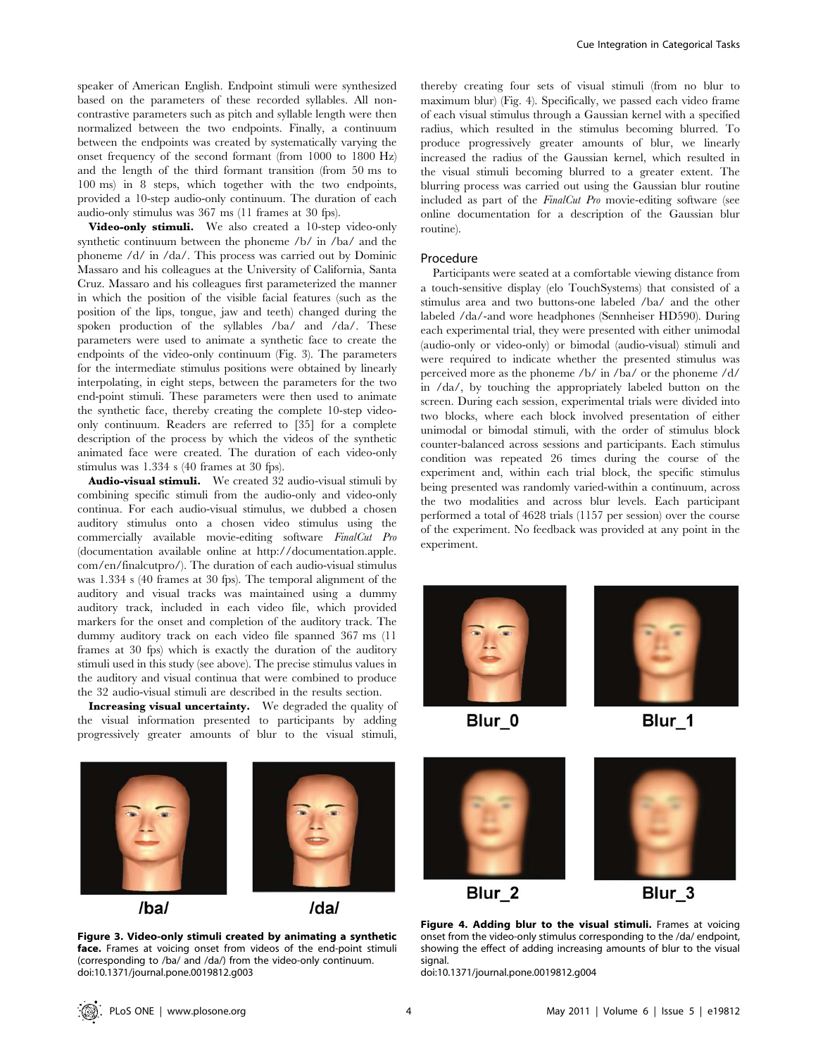speaker of American English. Endpoint stimuli were synthesized based on the parameters of these recorded syllables. All noncontrastive parameters such as pitch and syllable length were then normalized between the two endpoints. Finally, a continuum between the endpoints was created by systematically varying the onset frequency of the second formant (from 1000 to 1800 Hz) and the length of the third formant transition (from 50 ms to 100 ms) in 8 steps, which together with the two endpoints, provided a 10-step audio-only continuum. The duration of each audio-only stimulus was 367 ms (11 frames at 30 fps).

Video-only stimuli. We also created a 10-step video-only synthetic continuum between the phoneme /b/ in /ba/ and the phoneme /d/ in /da/. This process was carried out by Dominic Massaro and his colleagues at the University of California, Santa Cruz. Massaro and his colleagues first parameterized the manner in which the position of the visible facial features (such as the position of the lips, tongue, jaw and teeth) changed during the spoken production of the syllables /ba/ and /da/. These parameters were used to animate a synthetic face to create the endpoints of the video-only continuum (Fig. 3). The parameters for the intermediate stimulus positions were obtained by linearly interpolating, in eight steps, between the parameters for the two end-point stimuli. These parameters were then used to animate the synthetic face, thereby creating the complete 10-step videoonly continuum. Readers are referred to [35] for a complete description of the process by which the videos of the synthetic animated face were created. The duration of each video-only stimulus was 1.334 s (40 frames at 30 fps).

Audio-visual stimuli. We created 32 audio-visual stimuli by combining specific stimuli from the audio-only and video-only continua. For each audio-visual stimulus, we dubbed a chosen auditory stimulus onto a chosen video stimulus using the commercially available movie-editing software FinalCut Pro (documentation available online at http://documentation.apple. com/en/finalcutpro/). The duration of each audio-visual stimulus was 1.334 s (40 frames at 30 fps). The temporal alignment of the auditory and visual tracks was maintained using a dummy auditory track, included in each video file, which provided markers for the onset and completion of the auditory track. The dummy auditory track on each video file spanned 367 ms (11 frames at 30 fps) which is exactly the duration of the auditory stimuli used in this study (see above). The precise stimulus values in the auditory and visual continua that were combined to produce the 32 audio-visual stimuli are described in the results section.

Increasing visual uncertainty. We degraded the quality of the visual information presented to participants by adding progressively greater amounts of blur to the visual stimuli,



 $/bal$ 



/da/

Figure 3. Video-only stimuli created by animating a synthetic face. Frames at voicing onset from videos of the end-point stimuli (corresponding to /ba/ and /da/) from the video-only continuum. doi:10.1371/journal.pone.0019812.g003

thereby creating four sets of visual stimuli (from no blur to maximum blur) (Fig. 4). Specifically, we passed each video frame of each visual stimulus through a Gaussian kernel with a specified radius, which resulted in the stimulus becoming blurred. To produce progressively greater amounts of blur, we linearly increased the radius of the Gaussian kernel, which resulted in the visual stimuli becoming blurred to a greater extent. The blurring process was carried out using the Gaussian blur routine included as part of the FinalCut Pro movie-editing software (see online documentation for a description of the Gaussian blur routine).

#### Procedure

Participants were seated at a comfortable viewing distance from a touch-sensitive display (elo TouchSystems) that consisted of a stimulus area and two buttons-one labeled /ba/ and the other labeled /da/-and wore headphones (Sennheiser HD590). During each experimental trial, they were presented with either unimodal (audio-only or video-only) or bimodal (audio-visual) stimuli and were required to indicate whether the presented stimulus was perceived more as the phoneme /b/ in /ba/ or the phoneme /d/ in /da/, by touching the appropriately labeled button on the screen. During each session, experimental trials were divided into two blocks, where each block involved presentation of either unimodal or bimodal stimuli, with the order of stimulus block counter-balanced across sessions and participants. Each stimulus condition was repeated 26 times during the course of the experiment and, within each trial block, the specific stimulus being presented was randomly varied-within a continuum, across the two modalities and across blur levels. Each participant performed a total of 4628 trials (1157 per session) over the course of the experiment. No feedback was provided at any point in the experiment.



Blur 0



Blur 1



Blur\_2



Blur\_3

Figure 4. Adding blur to the visual stimuli. Frames at voicing onset from the video-only stimulus corresponding to the /da/ endpoint, showing the effect of adding increasing amounts of blur to the visual signal.

doi:10.1371/journal.pone.0019812.g004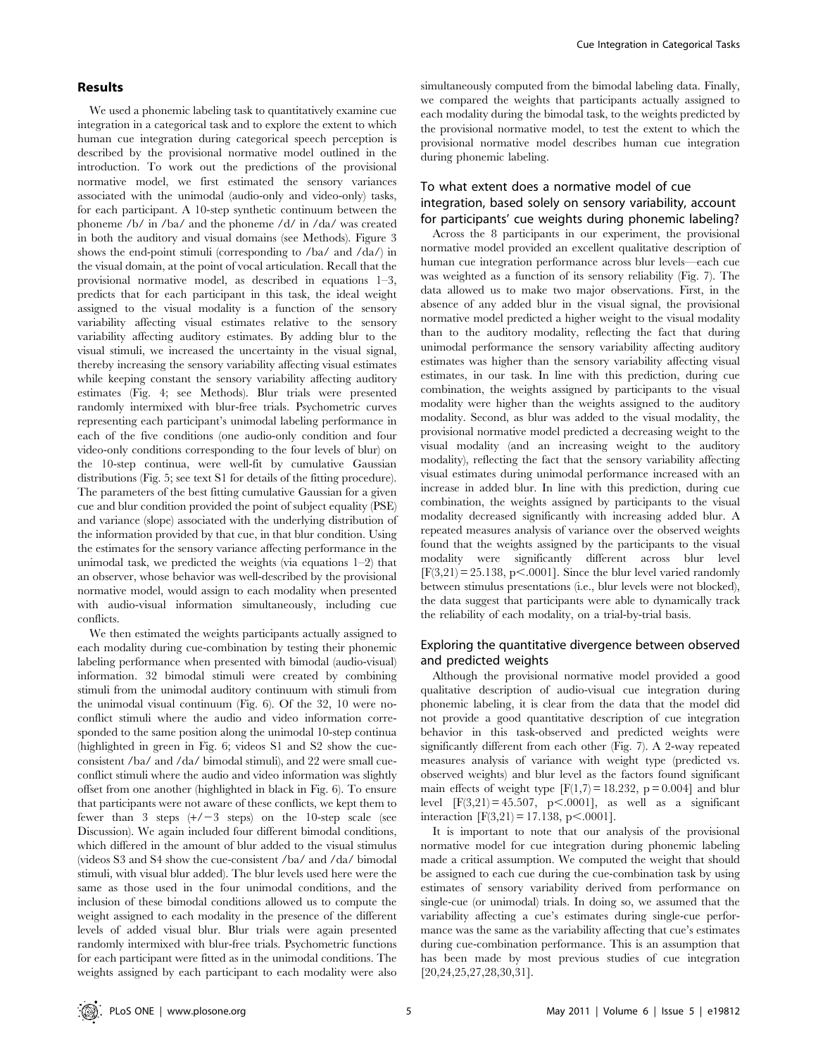## Results

We used a phonemic labeling task to quantitatively examine cue integration in a categorical task and to explore the extent to which human cue integration during categorical speech perception is described by the provisional normative model outlined in the introduction. To work out the predictions of the provisional normative model, we first estimated the sensory variances associated with the unimodal (audio-only and video-only) tasks, for each participant. A 10-step synthetic continuum between the phoneme /b/ in /ba/ and the phoneme /d/ in /da/ was created in both the auditory and visual domains (see Methods). Figure 3 shows the end-point stimuli (corresponding to /ba/ and /da/) in the visual domain, at the point of vocal articulation. Recall that the provisional normative model, as described in equations 1–3, predicts that for each participant in this task, the ideal weight assigned to the visual modality is a function of the sensory variability affecting visual estimates relative to the sensory variability affecting auditory estimates. By adding blur to the visual stimuli, we increased the uncertainty in the visual signal, thereby increasing the sensory variability affecting visual estimates while keeping constant the sensory variability affecting auditory estimates (Fig. 4; see Methods). Blur trials were presented randomly intermixed with blur-free trials. Psychometric curves representing each participant's unimodal labeling performance in each of the five conditions (one audio-only condition and four video-only conditions corresponding to the four levels of blur) on the 10-step continua, were well-fit by cumulative Gaussian distributions (Fig. 5; see text S1 for details of the fitting procedure). The parameters of the best fitting cumulative Gaussian for a given cue and blur condition provided the point of subject equality (PSE) and variance (slope) associated with the underlying distribution of the information provided by that cue, in that blur condition. Using the estimates for the sensory variance affecting performance in the unimodal task, we predicted the weights (via equations  $1-2$ ) that an observer, whose behavior was well-described by the provisional normative model, would assign to each modality when presented with audio-visual information simultaneously, including cue conflicts.

We then estimated the weights participants actually assigned to each modality during cue-combination by testing their phonemic labeling performance when presented with bimodal (audio-visual) information. 32 bimodal stimuli were created by combining stimuli from the unimodal auditory continuum with stimuli from the unimodal visual continuum (Fig. 6). Of the 32, 10 were noconflict stimuli where the audio and video information corresponded to the same position along the unimodal 10-step continua (highlighted in green in Fig. 6; videos S1 and S2 show the cueconsistent /ba/ and /da/ bimodal stimuli), and 22 were small cueconflict stimuli where the audio and video information was slightly offset from one another (highlighted in black in Fig. 6). To ensure that participants were not aware of these conflicts, we kept them to fewer than 3 steps  $(+/-3$  steps) on the 10-step scale (see Discussion). We again included four different bimodal conditions, which differed in the amount of blur added to the visual stimulus (videos S3 and S4 show the cue-consistent /ba/ and /da/ bimodal stimuli, with visual blur added). The blur levels used here were the same as those used in the four unimodal conditions, and the inclusion of these bimodal conditions allowed us to compute the weight assigned to each modality in the presence of the different levels of added visual blur. Blur trials were again presented randomly intermixed with blur-free trials. Psychometric functions for each participant were fitted as in the unimodal conditions. The weights assigned by each participant to each modality were also

simultaneously computed from the bimodal labeling data. Finally, we compared the weights that participants actually assigned to each modality during the bimodal task, to the weights predicted by the provisional normative model, to test the extent to which the provisional normative model describes human cue integration during phonemic labeling.

## To what extent does a normative model of cue integration, based solely on sensory variability, account for participants' cue weights during phonemic labeling?

Across the 8 participants in our experiment, the provisional normative model provided an excellent qualitative description of human cue integration performance across blur levels—each cue was weighted as a function of its sensory reliability (Fig. 7). The data allowed us to make two major observations. First, in the absence of any added blur in the visual signal, the provisional normative model predicted a higher weight to the visual modality than to the auditory modality, reflecting the fact that during unimodal performance the sensory variability affecting auditory estimates was higher than the sensory variability affecting visual estimates, in our task. In line with this prediction, during cue combination, the weights assigned by participants to the visual modality were higher than the weights assigned to the auditory modality. Second, as blur was added to the visual modality, the provisional normative model predicted a decreasing weight to the visual modality (and an increasing weight to the auditory modality), reflecting the fact that the sensory variability affecting visual estimates during unimodal performance increased with an increase in added blur. In line with this prediction, during cue combination, the weights assigned by participants to the visual modality decreased significantly with increasing added blur. A repeated measures analysis of variance over the observed weights found that the weights assigned by the participants to the visual modality were significantly different across blur level  $[F(3,21) = 25.138, p<.0001]$ . Since the blur level varied randomly between stimulus presentations (i.e., blur levels were not blocked), the data suggest that participants were able to dynamically track the reliability of each modality, on a trial-by-trial basis.

## Exploring the quantitative divergence between observed and predicted weights

Although the provisional normative model provided a good qualitative description of audio-visual cue integration during phonemic labeling, it is clear from the data that the model did not provide a good quantitative description of cue integration behavior in this task-observed and predicted weights were significantly different from each other (Fig. 7). A 2-way repeated measures analysis of variance with weight type (predicted vs. observed weights) and blur level as the factors found significant main effects of weight type  $[F(1,7) = 18.232, p = 0.004]$  and blur level  $[F(3,21) = 45.507, p<.0001]$ , as well as a significant interaction  $[F(3,21) = 17.138, p<.0001]$ .

It is important to note that our analysis of the provisional normative model for cue integration during phonemic labeling made a critical assumption. We computed the weight that should be assigned to each cue during the cue-combination task by using estimates of sensory variability derived from performance on single-cue (or unimodal) trials. In doing so, we assumed that the variability affecting a cue's estimates during single-cue performance was the same as the variability affecting that cue's estimates during cue-combination performance. This is an assumption that has been made by most previous studies of cue integration [20,24,25,27,28,30,31].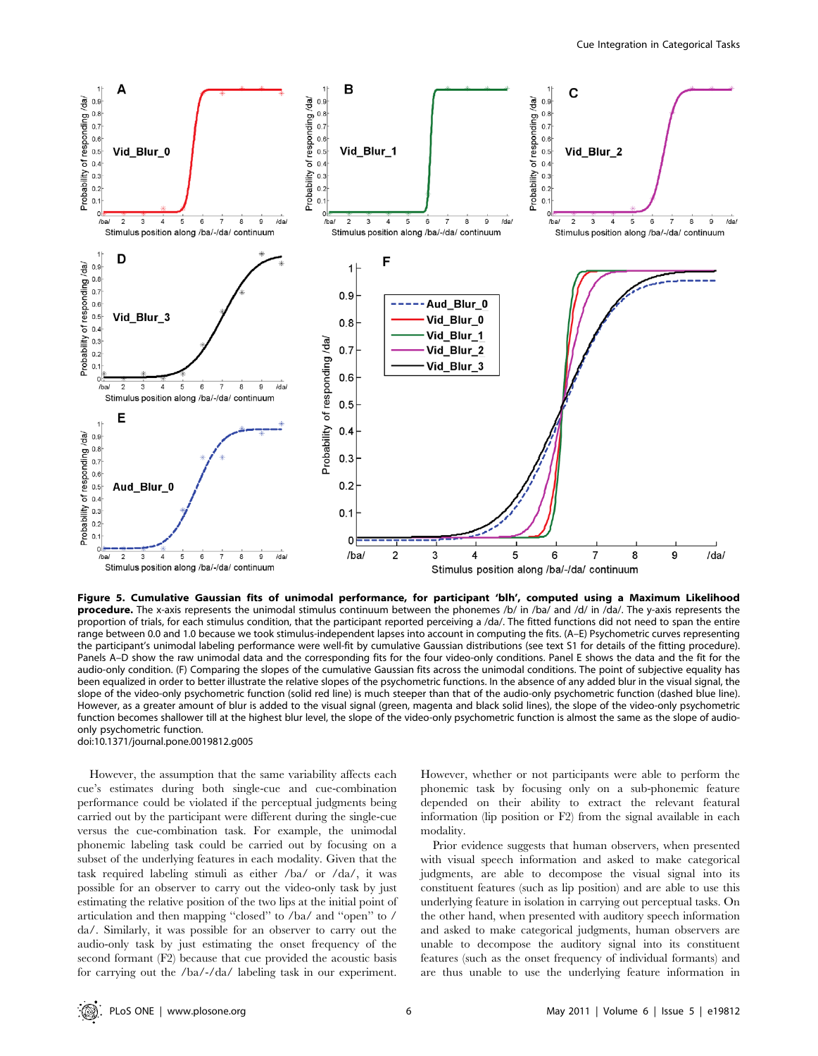

Figure 5. Cumulative Gaussian fits of unimodal performance, for participant 'blh', computed using a Maximum Likelihood **procedure.** The x-axis represents the unimodal stimulus continuum between the phonemes /b/ in /ba/ and /d/ in /da/. The y-axis represents the proportion of trials, for each stimulus condition, that the participant reported perceiving a /da/. The fitted functions did not need to span the entire range between 0.0 and 1.0 because we took stimulus-independent lapses into account in computing the fits. (A–E) Psychometric curves representing the participant's unimodal labeling performance were well-fit by cumulative Gaussian distributions (see text S1 for details of the fitting procedure). Panels A–D show the raw unimodal data and the corresponding fits for the four video-only conditions. Panel E shows the data and the fit for the audio-only condition. (F) Comparing the slopes of the cumulative Gaussian fits across the unimodal conditions. The point of subjective equality has been equalized in order to better illustrate the relative slopes of the psychometric functions. In the absence of any added blur in the visual signal, the slope of the video-only psychometric function (solid red line) is much steeper than that of the audio-only psychometric function (dashed blue line). However, as a greater amount of blur is added to the visual signal (green, magenta and black solid lines), the slope of the video-only psychometric function becomes shallower till at the highest blur level, the slope of the video-only psychometric function is almost the same as the slope of audioonly psychometric function.

doi:10.1371/journal.pone.0019812.g005

However, the assumption that the same variability affects each cue's estimates during both single-cue and cue-combination performance could be violated if the perceptual judgments being carried out by the participant were different during the single-cue versus the cue-combination task. For example, the unimodal phonemic labeling task could be carried out by focusing on a subset of the underlying features in each modality. Given that the task required labeling stimuli as either /ba/ or /da/, it was possible for an observer to carry out the video-only task by just estimating the relative position of the two lips at the initial point of articulation and then mapping ''closed'' to /ba/ and ''open'' to / da/. Similarly, it was possible for an observer to carry out the audio-only task by just estimating the onset frequency of the second formant (F2) because that cue provided the acoustic basis for carrying out the /ba/-/da/ labeling task in our experiment.

However, whether or not participants were able to perform the phonemic task by focusing only on a sub-phonemic feature depended on their ability to extract the relevant featural information (lip position or F2) from the signal available in each modality.

Prior evidence suggests that human observers, when presented with visual speech information and asked to make categorical judgments, are able to decompose the visual signal into its constituent features (such as lip position) and are able to use this underlying feature in isolation in carrying out perceptual tasks. On the other hand, when presented with auditory speech information and asked to make categorical judgments, human observers are unable to decompose the auditory signal into its constituent features (such as the onset frequency of individual formants) and are thus unable to use the underlying feature information in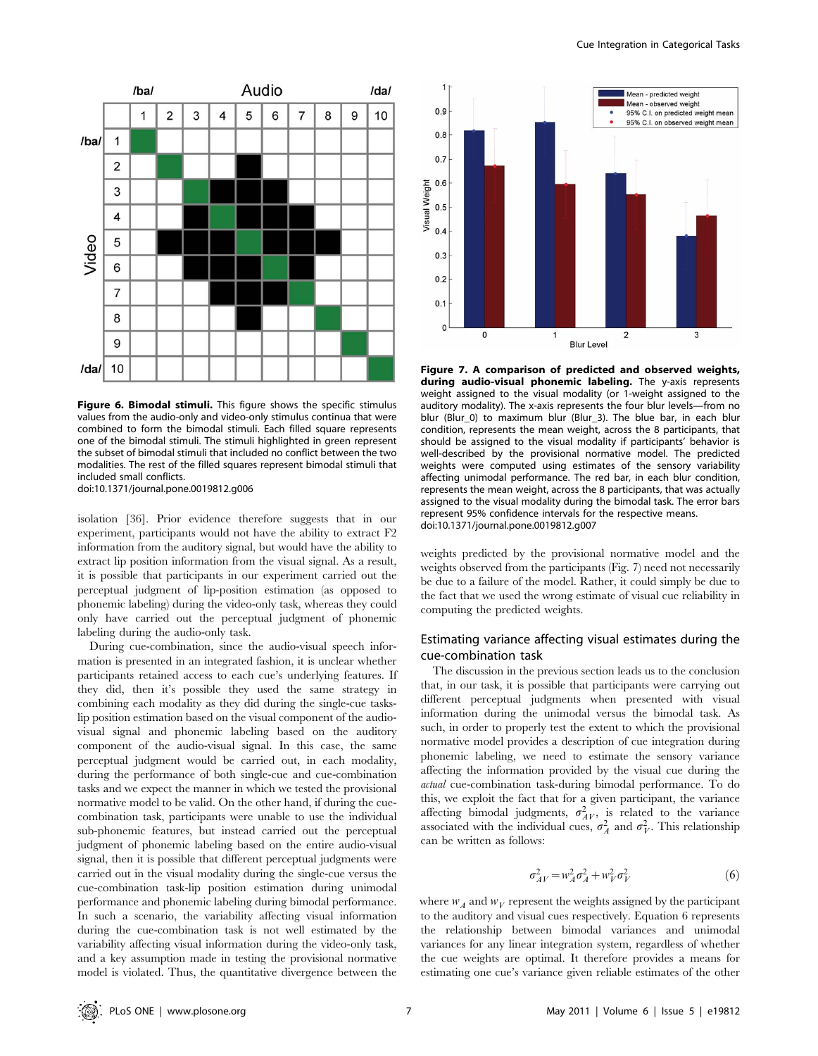

Figure 6. Bimodal stimuli. This figure shows the specific stimulus values from the audio-only and video-only stimulus continua that were combined to form the bimodal stimuli. Each filled square represents one of the bimodal stimuli. The stimuli highlighted in green represent the subset of bimodal stimuli that included no conflict between the two modalities. The rest of the filled squares represent bimodal stimuli that included small conflicts. doi:10.1371/journal.pone.0019812.g006

isolation [36]. Prior evidence therefore suggests that in our experiment, participants would not have the ability to extract F2 information from the auditory signal, but would have the ability to extract lip position information from the visual signal. As a result, it is possible that participants in our experiment carried out the perceptual judgment of lip-position estimation (as opposed to phonemic labeling) during the video-only task, whereas they could

only have carried out the perceptual judgment of phonemic

labeling during the audio-only task. During cue-combination, since the audio-visual speech information is presented in an integrated fashion, it is unclear whether participants retained access to each cue's underlying features. If they did, then it's possible they used the same strategy in combining each modality as they did during the single-cue taskslip position estimation based on the visual component of the audiovisual signal and phonemic labeling based on the auditory component of the audio-visual signal. In this case, the same perceptual judgment would be carried out, in each modality, during the performance of both single-cue and cue-combination tasks and we expect the manner in which we tested the provisional normative model to be valid. On the other hand, if during the cuecombination task, participants were unable to use the individual sub-phonemic features, but instead carried out the perceptual judgment of phonemic labeling based on the entire audio-visual signal, then it is possible that different perceptual judgments were carried out in the visual modality during the single-cue versus the cue-combination task-lip position estimation during unimodal performance and phonemic labeling during bimodal performance. In such a scenario, the variability affecting visual information during the cue-combination task is not well estimated by the variability affecting visual information during the video-only task, and a key assumption made in testing the provisional normative model is violated. Thus, the quantitative divergence between the



Figure 7. A comparison of predicted and observed weights, during audio-visual phonemic labeling. The y-axis represents weight assigned to the visual modality (or 1-weight assigned to the auditory modality). The x-axis represents the four blur levels—from no blur (Blur\_0) to maximum blur (Blur\_3). The blue bar, in each blur condition, represents the mean weight, across the 8 participants, that should be assigned to the visual modality if participants' behavior is well-described by the provisional normative model. The predicted weights were computed using estimates of the sensory variability affecting unimodal performance. The red bar, in each blur condition, represents the mean weight, across the 8 participants, that was actually assigned to the visual modality during the bimodal task. The error bars represent 95% confidence intervals for the respective means. doi:10.1371/journal.pone.0019812.g007

weights predicted by the provisional normative model and the weights observed from the participants (Fig. 7) need not necessarily be due to a failure of the model. Rather, it could simply be due to the fact that we used the wrong estimate of visual cue reliability in computing the predicted weights.

## Estimating variance affecting visual estimates during the cue-combination task

The discussion in the previous section leads us to the conclusion that, in our task, it is possible that participants were carrying out different perceptual judgments when presented with visual information during the unimodal versus the bimodal task. As such, in order to properly test the extent to which the provisional normative model provides a description of cue integration during phonemic labeling, we need to estimate the sensory variance affecting the information provided by the visual cue during the actual cue-combination task-during bimodal performance. To do this, we exploit the fact that for a given participant, the variance affecting bimodal judgments,  $\sigma_{AY}^2$ , is related to the variance associated with the individual cues,  $\sigma_A^2$  and  $\sigma_V^2$ . This relationship can be written as follows:

$$
\sigma_{AV}^2 = w_A^2 \sigma_A^2 + w_V^2 \sigma_V^2 \tag{6}
$$

where  $w_A$  and  $w_V$  represent the weights assigned by the participant to the auditory and visual cues respectively. Equation 6 represents the relationship between bimodal variances and unimodal variances for any linear integration system, regardless of whether the cue weights are optimal. It therefore provides a means for estimating one cue's variance given reliable estimates of the other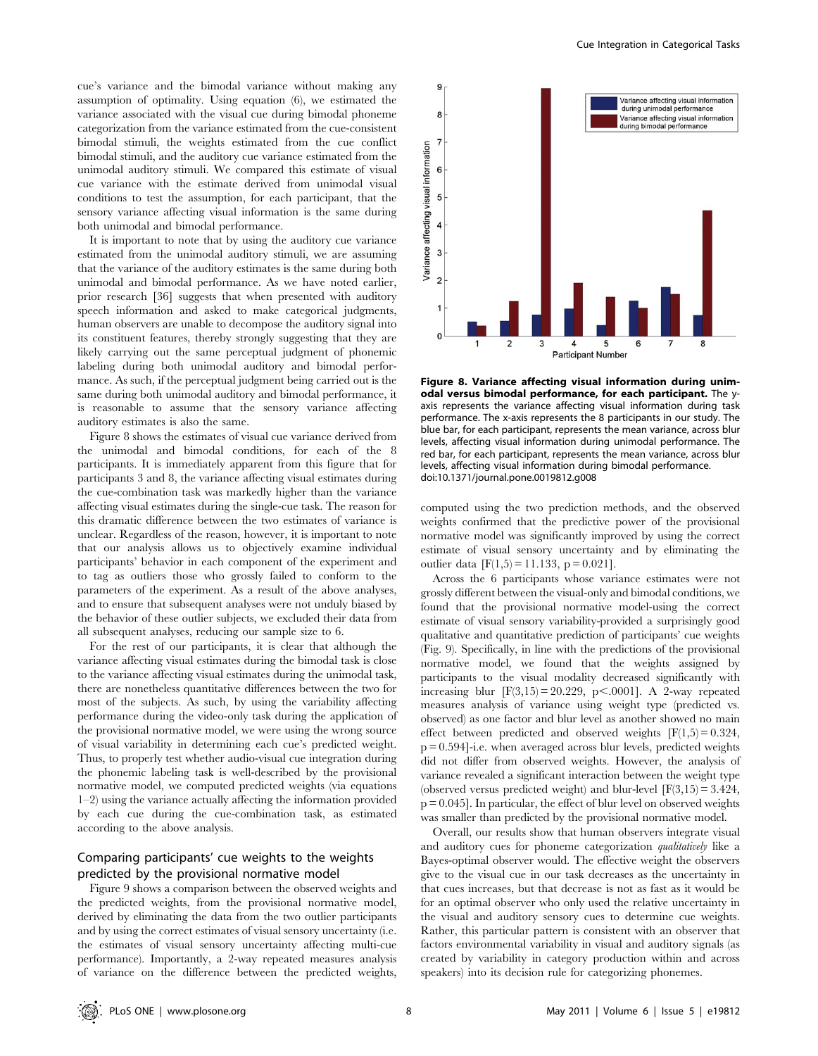cue's variance and the bimodal variance without making any assumption of optimality. Using equation (6), we estimated the variance associated with the visual cue during bimodal phoneme categorization from the variance estimated from the cue-consistent bimodal stimuli, the weights estimated from the cue conflict bimodal stimuli, and the auditory cue variance estimated from the unimodal auditory stimuli. We compared this estimate of visual cue variance with the estimate derived from unimodal visual conditions to test the assumption, for each participant, that the sensory variance affecting visual information is the same during both unimodal and bimodal performance.

It is important to note that by using the auditory cue variance estimated from the unimodal auditory stimuli, we are assuming that the variance of the auditory estimates is the same during both unimodal and bimodal performance. As we have noted earlier, prior research [36] suggests that when presented with auditory speech information and asked to make categorical judgments, human observers are unable to decompose the auditory signal into its constituent features, thereby strongly suggesting that they are likely carrying out the same perceptual judgment of phonemic labeling during both unimodal auditory and bimodal performance. As such, if the perceptual judgment being carried out is the same during both unimodal auditory and bimodal performance, it is reasonable to assume that the sensory variance affecting auditory estimates is also the same.

Figure 8 shows the estimates of visual cue variance derived from the unimodal and bimodal conditions, for each of the 8 participants. It is immediately apparent from this figure that for participants 3 and 8, the variance affecting visual estimates during the cue-combination task was markedly higher than the variance affecting visual estimates during the single-cue task. The reason for this dramatic difference between the two estimates of variance is unclear. Regardless of the reason, however, it is important to note that our analysis allows us to objectively examine individual participants' behavior in each component of the experiment and to tag as outliers those who grossly failed to conform to the parameters of the experiment. As a result of the above analyses, and to ensure that subsequent analyses were not unduly biased by the behavior of these outlier subjects, we excluded their data from all subsequent analyses, reducing our sample size to 6.

For the rest of our participants, it is clear that although the variance affecting visual estimates during the bimodal task is close to the variance affecting visual estimates during the unimodal task, there are nonetheless quantitative differences between the two for most of the subjects. As such, by using the variability affecting performance during the video-only task during the application of the provisional normative model, we were using the wrong source of visual variability in determining each cue's predicted weight. Thus, to properly test whether audio-visual cue integration during the phonemic labeling task is well-described by the provisional normative model, we computed predicted weights (via equations 1–2) using the variance actually affecting the information provided by each cue during the cue-combination task, as estimated according to the above analysis.

## Comparing participants' cue weights to the weights predicted by the provisional normative model

Figure 9 shows a comparison between the observed weights and the predicted weights, from the provisional normative model, derived by eliminating the data from the two outlier participants and by using the correct estimates of visual sensory uncertainty (i.e. the estimates of visual sensory uncertainty affecting multi-cue performance). Importantly, a 2-way repeated measures analysis of variance on the difference between the predicted weights,



Figure 8. Variance affecting visual information during unimodal versus bimodal performance, for each participant. The yaxis represents the variance affecting visual information during task performance. The x-axis represents the 8 participants in our study. The blue bar, for each participant, represents the mean variance, across blur levels, affecting visual information during unimodal performance. The red bar, for each participant, represents the mean variance, across blur levels, affecting visual information during bimodal performance. doi:10.1371/journal.pone.0019812.g008

computed using the two prediction methods, and the observed weights confirmed that the predictive power of the provisional normative model was significantly improved by using the correct estimate of visual sensory uncertainty and by eliminating the outlier data  $[F(1,5) = 11.133, p = 0.021]$ .

Across the 6 participants whose variance estimates were not grossly different between the visual-only and bimodal conditions, we found that the provisional normative model-using the correct estimate of visual sensory variability-provided a surprisingly good qualitative and quantitative prediction of participants' cue weights (Fig. 9). Specifically, in line with the predictions of the provisional normative model, we found that the weights assigned by participants to the visual modality decreased significantly with increasing blur  $[F(3,15) = 20.229, p < .0001]$ . A 2-way repeated measures analysis of variance using weight type (predicted vs. observed) as one factor and blur level as another showed no main effect between predicted and observed weights  $[F(1,5) = 0.324,$ p = 0.594]-i.e. when averaged across blur levels, predicted weights did not differ from observed weights. However, the analysis of variance revealed a significant interaction between the weight type (observed versus predicted weight) and blur-level  $[F(3,15) = 3.424,$ p = 0.045]. In particular, the effect of blur level on observed weights was smaller than predicted by the provisional normative model.

Overall, our results show that human observers integrate visual and auditory cues for phoneme categorization qualitatively like a Bayes-optimal observer would. The effective weight the observers give to the visual cue in our task decreases as the uncertainty in that cues increases, but that decrease is not as fast as it would be for an optimal observer who only used the relative uncertainty in the visual and auditory sensory cues to determine cue weights. Rather, this particular pattern is consistent with an observer that factors environmental variability in visual and auditory signals (as created by variability in category production within and across speakers) into its decision rule for categorizing phonemes.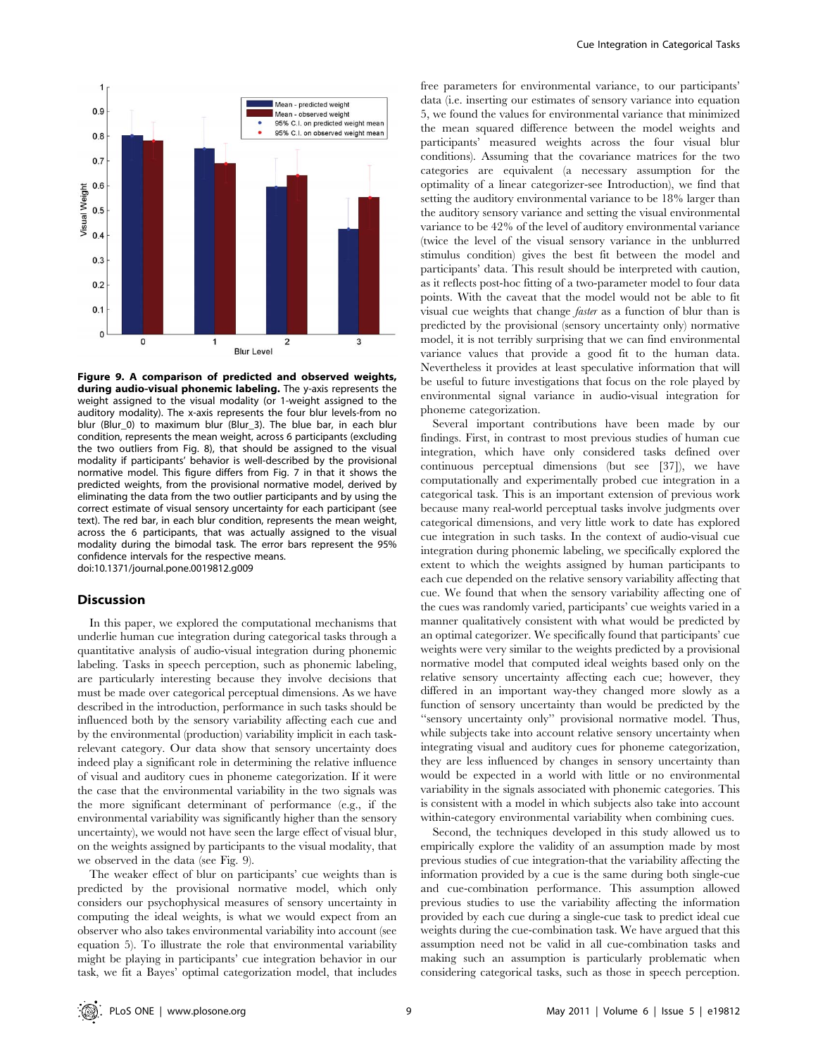

Figure 9. A comparison of predicted and observed weights, during audio-visual phonemic labeling. The y-axis represents the weight assigned to the visual modality (or 1-weight assigned to the auditory modality). The x-axis represents the four blur levels-from no blur (Blur\_0) to maximum blur (Blur\_3). The blue bar, in each blur condition, represents the mean weight, across 6 participants (excluding the two outliers from Fig. 8), that should be assigned to the visual modality if participants' behavior is well-described by the provisional normative model. This figure differs from Fig. 7 in that it shows the predicted weights, from the provisional normative model, derived by eliminating the data from the two outlier participants and by using the correct estimate of visual sensory uncertainty for each participant (see text). The red bar, in each blur condition, represents the mean weight, across the 6 participants, that was actually assigned to the visual modality during the bimodal task. The error bars represent the 95% confidence intervals for the respective means. doi:10.1371/journal.pone.0019812.g009

#### Discussion

In this paper, we explored the computational mechanisms that underlie human cue integration during categorical tasks through a quantitative analysis of audio-visual integration during phonemic labeling. Tasks in speech perception, such as phonemic labeling, are particularly interesting because they involve decisions that must be made over categorical perceptual dimensions. As we have described in the introduction, performance in such tasks should be influenced both by the sensory variability affecting each cue and by the environmental (production) variability implicit in each taskrelevant category. Our data show that sensory uncertainty does indeed play a significant role in determining the relative influence of visual and auditory cues in phoneme categorization. If it were the case that the environmental variability in the two signals was the more significant determinant of performance (e.g., if the environmental variability was significantly higher than the sensory uncertainty), we would not have seen the large effect of visual blur, on the weights assigned by participants to the visual modality, that we observed in the data (see Fig. 9).

The weaker effect of blur on participants' cue weights than is predicted by the provisional normative model, which only considers our psychophysical measures of sensory uncertainty in computing the ideal weights, is what we would expect from an observer who also takes environmental variability into account (see equation 5). To illustrate the role that environmental variability might be playing in participants' cue integration behavior in our task, we fit a Bayes' optimal categorization model, that includes

free parameters for environmental variance, to our participants' data (i.e. inserting our estimates of sensory variance into equation 5, we found the values for environmental variance that minimized the mean squared difference between the model weights and participants' measured weights across the four visual blur conditions). Assuming that the covariance matrices for the two categories are equivalent (a necessary assumption for the optimality of a linear categorizer-see Introduction), we find that setting the auditory environmental variance to be 18% larger than the auditory sensory variance and setting the visual environmental variance to be 42% of the level of auditory environmental variance (twice the level of the visual sensory variance in the unblurred stimulus condition) gives the best fit between the model and participants' data. This result should be interpreted with caution, as it reflects post-hoc fitting of a two-parameter model to four data points. With the caveat that the model would not be able to fit visual cue weights that change faster as a function of blur than is predicted by the provisional (sensory uncertainty only) normative model, it is not terribly surprising that we can find environmental variance values that provide a good fit to the human data. Nevertheless it provides at least speculative information that will be useful to future investigations that focus on the role played by environmental signal variance in audio-visual integration for phoneme categorization.

Several important contributions have been made by our findings. First, in contrast to most previous studies of human cue integration, which have only considered tasks defined over continuous perceptual dimensions (but see [37]), we have computationally and experimentally probed cue integration in a categorical task. This is an important extension of previous work because many real-world perceptual tasks involve judgments over categorical dimensions, and very little work to date has explored cue integration in such tasks. In the context of audio-visual cue integration during phonemic labeling, we specifically explored the extent to which the weights assigned by human participants to each cue depended on the relative sensory variability affecting that cue. We found that when the sensory variability affecting one of the cues was randomly varied, participants' cue weights varied in a manner qualitatively consistent with what would be predicted by an optimal categorizer. We specifically found that participants' cue weights were very similar to the weights predicted by a provisional normative model that computed ideal weights based only on the relative sensory uncertainty affecting each cue; however, they differed in an important way-they changed more slowly as a function of sensory uncertainty than would be predicted by the ''sensory uncertainty only'' provisional normative model. Thus, while subjects take into account relative sensory uncertainty when integrating visual and auditory cues for phoneme categorization, they are less influenced by changes in sensory uncertainty than would be expected in a world with little or no environmental variability in the signals associated with phonemic categories. This is consistent with a model in which subjects also take into account within-category environmental variability when combining cues.

Second, the techniques developed in this study allowed us to empirically explore the validity of an assumption made by most previous studies of cue integration-that the variability affecting the information provided by a cue is the same during both single-cue and cue-combination performance. This assumption allowed previous studies to use the variability affecting the information provided by each cue during a single-cue task to predict ideal cue weights during the cue-combination task. We have argued that this assumption need not be valid in all cue-combination tasks and making such an assumption is particularly problematic when considering categorical tasks, such as those in speech perception.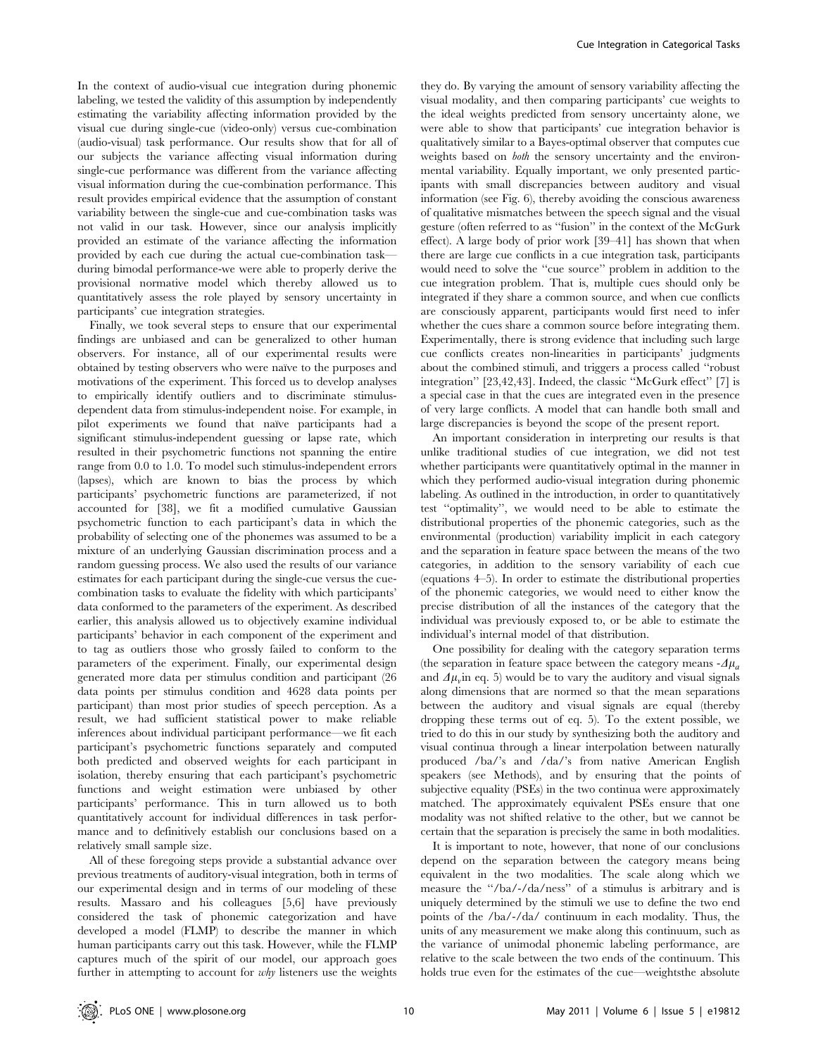In the context of audio-visual cue integration during phonemic labeling, we tested the validity of this assumption by independently estimating the variability affecting information provided by the visual cue during single-cue (video-only) versus cue-combination (audio-visual) task performance. Our results show that for all of our subjects the variance affecting visual information during single-cue performance was different from the variance affecting visual information during the cue-combination performance. This result provides empirical evidence that the assumption of constant variability between the single-cue and cue-combination tasks was not valid in our task. However, since our analysis implicitly provided an estimate of the variance affecting the information provided by each cue during the actual cue-combination task during bimodal performance-we were able to properly derive the provisional normative model which thereby allowed us to quantitatively assess the role played by sensory uncertainty in participants' cue integration strategies.

Finally, we took several steps to ensure that our experimental findings are unbiased and can be generalized to other human observers. For instance, all of our experimental results were obtained by testing observers who were naïve to the purposes and motivations of the experiment. This forced us to develop analyses to empirically identify outliers and to discriminate stimulusdependent data from stimulus-independent noise. For example, in pilot experiments we found that naïve participants had a significant stimulus-independent guessing or lapse rate, which resulted in their psychometric functions not spanning the entire range from 0.0 to 1.0. To model such stimulus-independent errors (lapses), which are known to bias the process by which participants' psychometric functions are parameterized, if not accounted for [38], we fit a modified cumulative Gaussian psychometric function to each participant's data in which the probability of selecting one of the phonemes was assumed to be a mixture of an underlying Gaussian discrimination process and a random guessing process. We also used the results of our variance estimates for each participant during the single-cue versus the cuecombination tasks to evaluate the fidelity with which participants' data conformed to the parameters of the experiment. As described earlier, this analysis allowed us to objectively examine individual participants' behavior in each component of the experiment and to tag as outliers those who grossly failed to conform to the parameters of the experiment. Finally, our experimental design generated more data per stimulus condition and participant (26 data points per stimulus condition and 4628 data points per participant) than most prior studies of speech perception. As a result, we had sufficient statistical power to make reliable inferences about individual participant performance—we fit each participant's psychometric functions separately and computed both predicted and observed weights for each participant in isolation, thereby ensuring that each participant's psychometric functions and weight estimation were unbiased by other participants' performance. This in turn allowed us to both quantitatively account for individual differences in task performance and to definitively establish our conclusions based on a relatively small sample size.

All of these foregoing steps provide a substantial advance over previous treatments of auditory-visual integration, both in terms of our experimental design and in terms of our modeling of these results. Massaro and his colleagues [5,6] have previously considered the task of phonemic categorization and have developed a model (FLMP) to describe the manner in which human participants carry out this task. However, while the FLMP captures much of the spirit of our model, our approach goes further in attempting to account for why listeners use the weights

they do. By varying the amount of sensory variability affecting the visual modality, and then comparing participants' cue weights to the ideal weights predicted from sensory uncertainty alone, we were able to show that participants' cue integration behavior is qualitatively similar to a Bayes-optimal observer that computes cue weights based on both the sensory uncertainty and the environmental variability. Equally important, we only presented participants with small discrepancies between auditory and visual information (see Fig. 6), thereby avoiding the conscious awareness of qualitative mismatches between the speech signal and the visual gesture (often referred to as ''fusion'' in the context of the McGurk effect). A large body of prior work [39–41] has shown that when there are large cue conflicts in a cue integration task, participants would need to solve the ''cue source'' problem in addition to the cue integration problem. That is, multiple cues should only be integrated if they share a common source, and when cue conflicts are consciously apparent, participants would first need to infer whether the cues share a common source before integrating them. Experimentally, there is strong evidence that including such large cue conflicts creates non-linearities in participants' judgments about the combined stimuli, and triggers a process called ''robust integration'' [23,42,43]. Indeed, the classic ''McGurk effect'' [7] is a special case in that the cues are integrated even in the presence of very large conflicts. A model that can handle both small and large discrepancies is beyond the scope of the present report.

An important consideration in interpreting our results is that unlike traditional studies of cue integration, we did not test whether participants were quantitatively optimal in the manner in which they performed audio-visual integration during phonemic labeling. As outlined in the introduction, in order to quantitatively test ''optimality'', we would need to be able to estimate the distributional properties of the phonemic categories, such as the environmental (production) variability implicit in each category and the separation in feature space between the means of the two categories, in addition to the sensory variability of each cue (equations 4–5). In order to estimate the distributional properties of the phonemic categories, we would need to either know the precise distribution of all the instances of the category that the individual was previously exposed to, or be able to estimate the individual's internal model of that distribution.

One possibility for dealing with the category separation terms (the separation in feature space between the category means  $-2\mu_a$ ) and  $\Delta \mu$ <sub>v</sub>in eq. 5) would be to vary the auditory and visual signals along dimensions that are normed so that the mean separations between the auditory and visual signals are equal (thereby dropping these terms out of eq. 5). To the extent possible, we tried to do this in our study by synthesizing both the auditory and visual continua through a linear interpolation between naturally produced /ba/'s and /da/'s from native American English speakers (see Methods), and by ensuring that the points of subjective equality (PSEs) in the two continua were approximately matched. The approximately equivalent PSEs ensure that one modality was not shifted relative to the other, but we cannot be certain that the separation is precisely the same in both modalities.

It is important to note, however, that none of our conclusions depend on the separation between the category means being equivalent in the two modalities. The scale along which we measure the ''/ba/-/da/ness'' of a stimulus is arbitrary and is uniquely determined by the stimuli we use to define the two end points of the /ba/-/da/ continuum in each modality. Thus, the units of any measurement we make along this continuum, such as the variance of unimodal phonemic labeling performance, are relative to the scale between the two ends of the continuum. This holds true even for the estimates of the cue—weightsthe absolute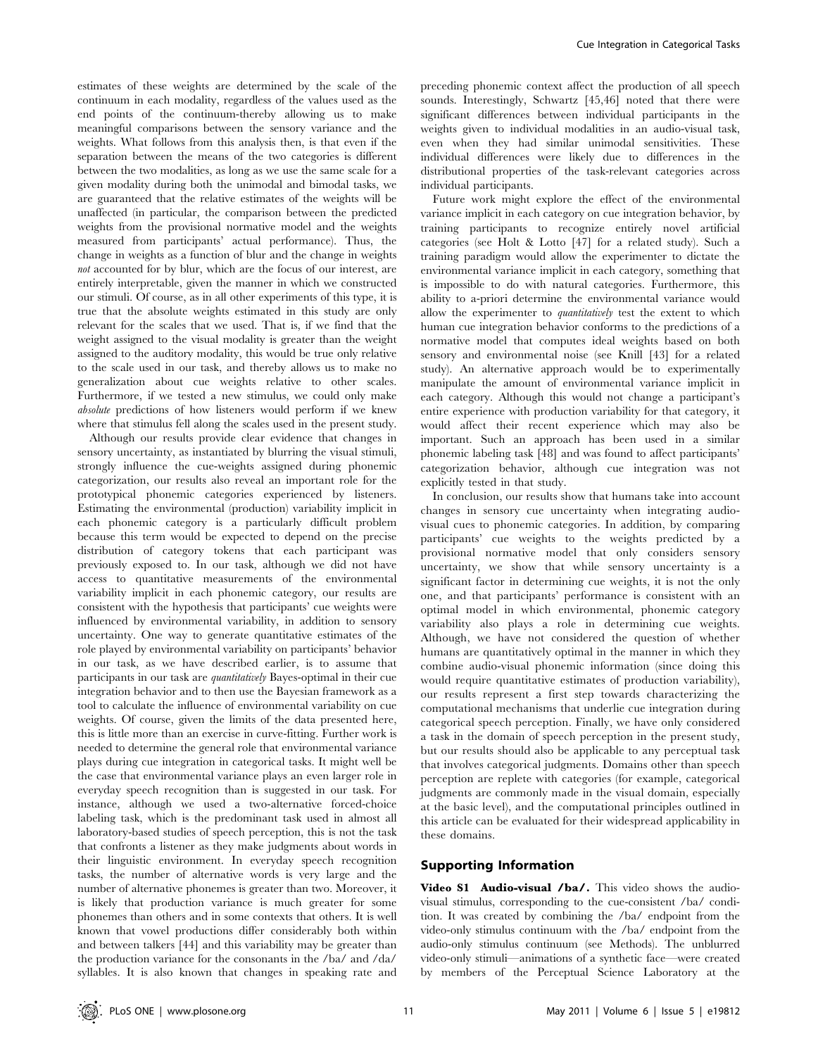estimates of these weights are determined by the scale of the continuum in each modality, regardless of the values used as the end points of the continuum-thereby allowing us to make meaningful comparisons between the sensory variance and the weights. What follows from this analysis then, is that even if the separation between the means of the two categories is different between the two modalities, as long as we use the same scale for a given modality during both the unimodal and bimodal tasks, we are guaranteed that the relative estimates of the weights will be unaffected (in particular, the comparison between the predicted weights from the provisional normative model and the weights measured from participants' actual performance). Thus, the change in weights as a function of blur and the change in weights not accounted for by blur, which are the focus of our interest, are entirely interpretable, given the manner in which we constructed our stimuli. Of course, as in all other experiments of this type, it is true that the absolute weights estimated in this study are only relevant for the scales that we used. That is, if we find that the weight assigned to the visual modality is greater than the weight assigned to the auditory modality, this would be true only relative to the scale used in our task, and thereby allows us to make no generalization about cue weights relative to other scales. Furthermore, if we tested a new stimulus, we could only make absolute predictions of how listeners would perform if we knew where that stimulus fell along the scales used in the present study.

Although our results provide clear evidence that changes in sensory uncertainty, as instantiated by blurring the visual stimuli, strongly influence the cue-weights assigned during phonemic categorization, our results also reveal an important role for the prototypical phonemic categories experienced by listeners. Estimating the environmental (production) variability implicit in each phonemic category is a particularly difficult problem because this term would be expected to depend on the precise distribution of category tokens that each participant was previously exposed to. In our task, although we did not have access to quantitative measurements of the environmental variability implicit in each phonemic category, our results are consistent with the hypothesis that participants' cue weights were influenced by environmental variability, in addition to sensory uncertainty. One way to generate quantitative estimates of the role played by environmental variability on participants' behavior in our task, as we have described earlier, is to assume that participants in our task are quantitatively Bayes-optimal in their cue integration behavior and to then use the Bayesian framework as a tool to calculate the influence of environmental variability on cue weights. Of course, given the limits of the data presented here, this is little more than an exercise in curve-fitting. Further work is needed to determine the general role that environmental variance plays during cue integration in categorical tasks. It might well be the case that environmental variance plays an even larger role in everyday speech recognition than is suggested in our task. For instance, although we used a two-alternative forced-choice labeling task, which is the predominant task used in almost all laboratory-based studies of speech perception, this is not the task that confronts a listener as they make judgments about words in their linguistic environment. In everyday speech recognition tasks, the number of alternative words is very large and the number of alternative phonemes is greater than two. Moreover, it is likely that production variance is much greater for some phonemes than others and in some contexts that others. It is well known that vowel productions differ considerably both within and between talkers [44] and this variability may be greater than the production variance for the consonants in the /ba/ and /da/ syllables. It is also known that changes in speaking rate and preceding phonemic context affect the production of all speech sounds. Interestingly, Schwartz [45,46] noted that there were significant differences between individual participants in the weights given to individual modalities in an audio-visual task, even when they had similar unimodal sensitivities. These individual differences were likely due to differences in the distributional properties of the task-relevant categories across individual participants.

Future work might explore the effect of the environmental variance implicit in each category on cue integration behavior, by training participants to recognize entirely novel artificial categories (see Holt & Lotto [47] for a related study). Such a training paradigm would allow the experimenter to dictate the environmental variance implicit in each category, something that is impossible to do with natural categories. Furthermore, this ability to a-priori determine the environmental variance would allow the experimenter to *quantitatively* test the extent to which human cue integration behavior conforms to the predictions of a normative model that computes ideal weights based on both sensory and environmental noise (see Knill [43] for a related study). An alternative approach would be to experimentally manipulate the amount of environmental variance implicit in each category. Although this would not change a participant's entire experience with production variability for that category, it would affect their recent experience which may also be important. Such an approach has been used in a similar phonemic labeling task [48] and was found to affect participants' categorization behavior, although cue integration was not explicitly tested in that study.

In conclusion, our results show that humans take into account changes in sensory cue uncertainty when integrating audiovisual cues to phonemic categories. In addition, by comparing participants' cue weights to the weights predicted by a provisional normative model that only considers sensory uncertainty, we show that while sensory uncertainty is a significant factor in determining cue weights, it is not the only one, and that participants' performance is consistent with an optimal model in which environmental, phonemic category variability also plays a role in determining cue weights. Although, we have not considered the question of whether humans are quantitatively optimal in the manner in which they combine audio-visual phonemic information (since doing this would require quantitative estimates of production variability), our results represent a first step towards characterizing the computational mechanisms that underlie cue integration during categorical speech perception. Finally, we have only considered a task in the domain of speech perception in the present study, but our results should also be applicable to any perceptual task that involves categorical judgments. Domains other than speech perception are replete with categories (for example, categorical judgments are commonly made in the visual domain, especially at the basic level), and the computational principles outlined in this article can be evaluated for their widespread applicability in these domains.

## Supporting Information

Video S1 Audio-visual /ba/. This video shows the audiovisual stimulus, corresponding to the cue-consistent /ba/ condition. It was created by combining the /ba/ endpoint from the video-only stimulus continuum with the /ba/ endpoint from the audio-only stimulus continuum (see Methods). The unblurred video-only stimuli—animations of a synthetic face—were created by members of the Perceptual Science Laboratory at the